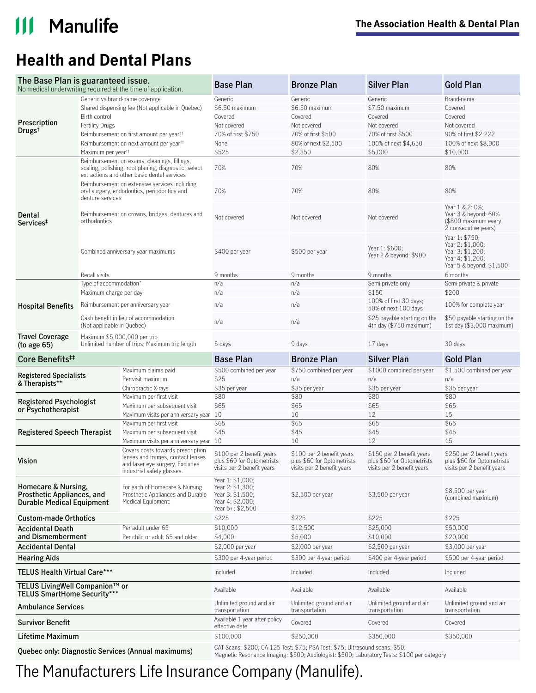### $\mathbf{III}$ **Manulife**

## **Health and Dental Plans**

| The Base Plan is guaranteed issue.                                                                    |                                                                                                                  | No medical underwriting required at the time of application.                                                                            | <b>Base Plan</b>                                                                                 | <b>Bronze Plan</b>                                                                    | <b>Silver Plan</b>                                                                          | <b>Gold Plan</b>                                                                                       |
|-------------------------------------------------------------------------------------------------------|------------------------------------------------------------------------------------------------------------------|-----------------------------------------------------------------------------------------------------------------------------------------|--------------------------------------------------------------------------------------------------|---------------------------------------------------------------------------------------|---------------------------------------------------------------------------------------------|--------------------------------------------------------------------------------------------------------|
|                                                                                                       | Generic vs brand-name coverage                                                                                   |                                                                                                                                         | Generic                                                                                          | Generic                                                                               | Generic                                                                                     | Brand-name                                                                                             |
|                                                                                                       | Shared dispensing fee (Not applicable in Quebec)                                                                 |                                                                                                                                         | \$6.50 maximum                                                                                   | \$6.50 maximum                                                                        | \$7.50 maximum                                                                              | Covered                                                                                                |
|                                                                                                       | Birth control                                                                                                    |                                                                                                                                         | Covered                                                                                          | Covered                                                                               | Covered                                                                                     | Covered                                                                                                |
| Prescription                                                                                          | <b>Fertility Drugs</b>                                                                                           |                                                                                                                                         | Not covered                                                                                      | Not covered                                                                           | Not covered                                                                                 | Not covered                                                                                            |
| Drugs <sup>t</sup>                                                                                    | Reimbursement on first amount per year <sup>tt</sup>                                                             |                                                                                                                                         | 70% of first \$750                                                                               | 70% of first \$500                                                                    | 70% of first \$500                                                                          | 90% of first \$2,222                                                                                   |
|                                                                                                       |                                                                                                                  | Reimbursement on next amount per year <sup>tt</sup>                                                                                     | None                                                                                             | 80% of next \$2,500                                                                   | 100% of next \$4,650                                                                        | 100% of next \$8,000                                                                                   |
|                                                                                                       | Maximum per year <sup>tt</sup>                                                                                   |                                                                                                                                         | \$525                                                                                            | \$2,350                                                                               | \$5,000                                                                                     | \$10,000                                                                                               |
|                                                                                                       |                                                                                                                  | Reimbursement on exams, cleanings, fillings,                                                                                            |                                                                                                  |                                                                                       |                                                                                             |                                                                                                        |
|                                                                                                       | scaling, polishing, root planing, diagnostic, select<br>extractions and other basic dental services              |                                                                                                                                         | 70%                                                                                              | 70%                                                                                   | 80%                                                                                         | 80%                                                                                                    |
|                                                                                                       | Reimbursement on extensive services including<br>oral surgery, endodontics, periodontics and<br>denture services |                                                                                                                                         | 70%                                                                                              | 70%                                                                                   | 80%                                                                                         | 80%                                                                                                    |
| Dental<br>orthodontics<br>Services <sup>‡</sup>                                                       |                                                                                                                  | Reimbursement on crowns, bridges, dentures and                                                                                          | Not covered                                                                                      | Not covered                                                                           | Not covered                                                                                 | Year 1 & 2: 0%;<br>Year 3 & beyond: 60%<br>(\$800 maximum every<br>2 consecutive years)                |
|                                                                                                       | Combined anniversary year maximums                                                                               |                                                                                                                                         | \$400 per year                                                                                   | \$500 per year                                                                        | Year 1: \$600;<br>Year 2 & beyond: \$900                                                    | Year 1: \$750;<br>Year 2: \$1,000;<br>Year 3: \$1,200;<br>Year 4: \$1,200;<br>Year 5 & beyond: \$1,500 |
|                                                                                                       | Recall visits                                                                                                    |                                                                                                                                         | 9 months                                                                                         | 9 months                                                                              | 9 months                                                                                    | 6 months                                                                                               |
|                                                                                                       | Type of accommodation*                                                                                           |                                                                                                                                         | n/a                                                                                              | n/a                                                                                   | Semi-private only                                                                           | Semi-private & private                                                                                 |
|                                                                                                       | Maximum charge per day                                                                                           |                                                                                                                                         | n/a                                                                                              | n/a                                                                                   | \$150                                                                                       | \$200                                                                                                  |
| <b>Hospital Benefits</b>                                                                              | Reimbursement per anniversary year                                                                               |                                                                                                                                         | n/a                                                                                              | n/a                                                                                   | 100% of first 30 days;<br>50% of next 100 days                                              | 100% for complete year                                                                                 |
|                                                                                                       | Cash benefit in lieu of accommodation<br>(Not applicable in Quebec)                                              |                                                                                                                                         | n/a                                                                                              | n/a                                                                                   | \$25 payable starting on the<br>4th day (\$750 maximum)                                     | \$50 payable starting on the<br>1st day $(\$3,000$ maximum)                                            |
| <b>Travel Coverage</b><br>Maximum \$5,000,000 per trip<br>(to age 65)                                 |                                                                                                                  | Unlimited number of trips; Maximum trip length                                                                                          | 5 days                                                                                           | 9 days                                                                                | 17 days                                                                                     | 30 days                                                                                                |
| Core Benefits <sup>##</sup>                                                                           |                                                                                                                  |                                                                                                                                         | <b>Base Plan</b>                                                                                 | <b>Bronze Plan</b>                                                                    | <b>Silver Plan</b>                                                                          | <b>Gold Plan</b>                                                                                       |
| <b>Registered Specialists</b>                                                                         |                                                                                                                  | Maximum claims paid                                                                                                                     | \$500 combined per year                                                                          | \$750 combined per year                                                               | \$1000 combined per year                                                                    | \$1,500 combined per year                                                                              |
| & Therapists**                                                                                        |                                                                                                                  | Per visit maximum                                                                                                                       | \$25                                                                                             | n/a                                                                                   | n/a                                                                                         | n/a                                                                                                    |
|                                                                                                       |                                                                                                                  | Chiropractic X-rays                                                                                                                     | \$35 per year                                                                                    | \$35 per year                                                                         | \$35 per year                                                                               | \$35 per year                                                                                          |
| <b>Registered Psychologist</b><br>or Psychotherapist                                                  |                                                                                                                  | Maximum per first visit                                                                                                                 | \$80                                                                                             | \$80                                                                                  | \$80                                                                                        | \$80                                                                                                   |
|                                                                                                       |                                                                                                                  | Maximum per subsequent visit                                                                                                            | \$65                                                                                             | \$65                                                                                  | \$65                                                                                        | \$65                                                                                                   |
|                                                                                                       |                                                                                                                  | Maximum visits per anniversary year 10                                                                                                  |                                                                                                  | 10                                                                                    | 12                                                                                          | 15                                                                                                     |
| <b>Registered Speech Therapist</b>                                                                    |                                                                                                                  | Maximum per first visit                                                                                                                 | \$65                                                                                             | \$65                                                                                  | \$65                                                                                        | \$65                                                                                                   |
|                                                                                                       |                                                                                                                  | Maximum per subsequent visit                                                                                                            | \$45                                                                                             | \$45                                                                                  | \$45                                                                                        | \$45                                                                                                   |
|                                                                                                       |                                                                                                                  | Maximum visits per anniversary year 10                                                                                                  |                                                                                                  | 10                                                                                    | 12                                                                                          | 15                                                                                                     |
| Vision                                                                                                |                                                                                                                  | Covers costs towards prescription<br>lenses and frames, contact lenses<br>and laser eye surgery. Excludes<br>industrial safety glasses. | \$100 per 2 benefit years<br>plus \$60 for Optometrists<br>visits per 2 benefit years            | \$100 per 2 benefit years<br>plus \$60 for Optometrists<br>visits per 2 benefit years | \$150 per 2 benefit years<br>plus \$60 for Optometrists<br>visits per 2 benefit years       | \$250 per 2 benefit years<br>plus \$60 for Optometrists<br>visits per 2 benefit years                  |
| Homecare & Nursing,<br>Prosthetic Appliances, and<br><b>Durable Medical Equipment</b>                 |                                                                                                                  | For each of Homecare & Nursing,<br>Prosthetic Appliances and Durable<br>Medical Equipment:                                              | Year 1: \$1,000;<br>Year 2: \$1,300;<br>Year 3: \$1,500;<br>Year 4: \$2,000;<br>Year 5+: \$2,500 | \$2,500 per year                                                                      | \$3,500 per year                                                                            | \$8,500 per year<br>(combined maximum)                                                                 |
| <b>Custom-made Orthotics</b>                                                                          |                                                                                                                  |                                                                                                                                         | \$225                                                                                            | \$225                                                                                 | \$225                                                                                       | \$225                                                                                                  |
| Per adult under 65<br><b>Accidental Death</b><br>and Dismemberment<br>Per child or adult 65 and older |                                                                                                                  | \$10,000<br>\$4,000                                                                                                                     | \$12,500<br>\$5,000                                                                              | \$25,000<br>\$10,000                                                                  | \$50,000<br>\$20,000                                                                        |                                                                                                        |
| <b>Accidental Dental</b>                                                                              |                                                                                                                  |                                                                                                                                         | \$2,000 per year                                                                                 | \$2,000 per year                                                                      | \$2,500 per year                                                                            | \$3,000 per year                                                                                       |
| <b>Hearing Aids</b>                                                                                   |                                                                                                                  |                                                                                                                                         | \$300 per 4-year period                                                                          | \$300 per 4-year period                                                               | \$400 per 4-year period                                                                     | \$500 per 4-year period                                                                                |
| <b>TELUS Health Virtual Care***</b>                                                                   |                                                                                                                  |                                                                                                                                         | Included                                                                                         | Included                                                                              | Included                                                                                    | Included                                                                                               |
| TELUS LivingWell Companion™ or<br><b>TELUS SmartHome Security***</b>                                  |                                                                                                                  |                                                                                                                                         | Available                                                                                        | Available                                                                             | Available                                                                                   | Available                                                                                              |
| <b>Ambulance Services</b>                                                                             |                                                                                                                  |                                                                                                                                         | Unlimited ground and air<br>transportation                                                       | Unlimited ground and air<br>transportation                                            | Unlimited ground and air<br>transportation                                                  | Unlimited ground and air<br>transportation                                                             |
| <b>Survivor Benefit</b>                                                                               |                                                                                                                  |                                                                                                                                         | Available 1 year after policy<br>effective date                                                  | Covered                                                                               | Covered                                                                                     | Covered                                                                                                |
| Lifetime Maximum                                                                                      |                                                                                                                  |                                                                                                                                         | \$100,000                                                                                        | \$250,000                                                                             | \$350,000                                                                                   | \$350,000                                                                                              |
| Quebec only: Diagnostic Services (Annual maximums)                                                    |                                                                                                                  |                                                                                                                                         |                                                                                                  | CAT Scans: \$200; CA 125 Test: \$75; PSA Test: \$75; Ultrasound scans: \$50;          | Magnetic Resonance Imaging: \$500; Audiologist: \$500; Laboratory Tests: \$100 per category |                                                                                                        |

The Manufacturers Life Insurance Company (Manulife).